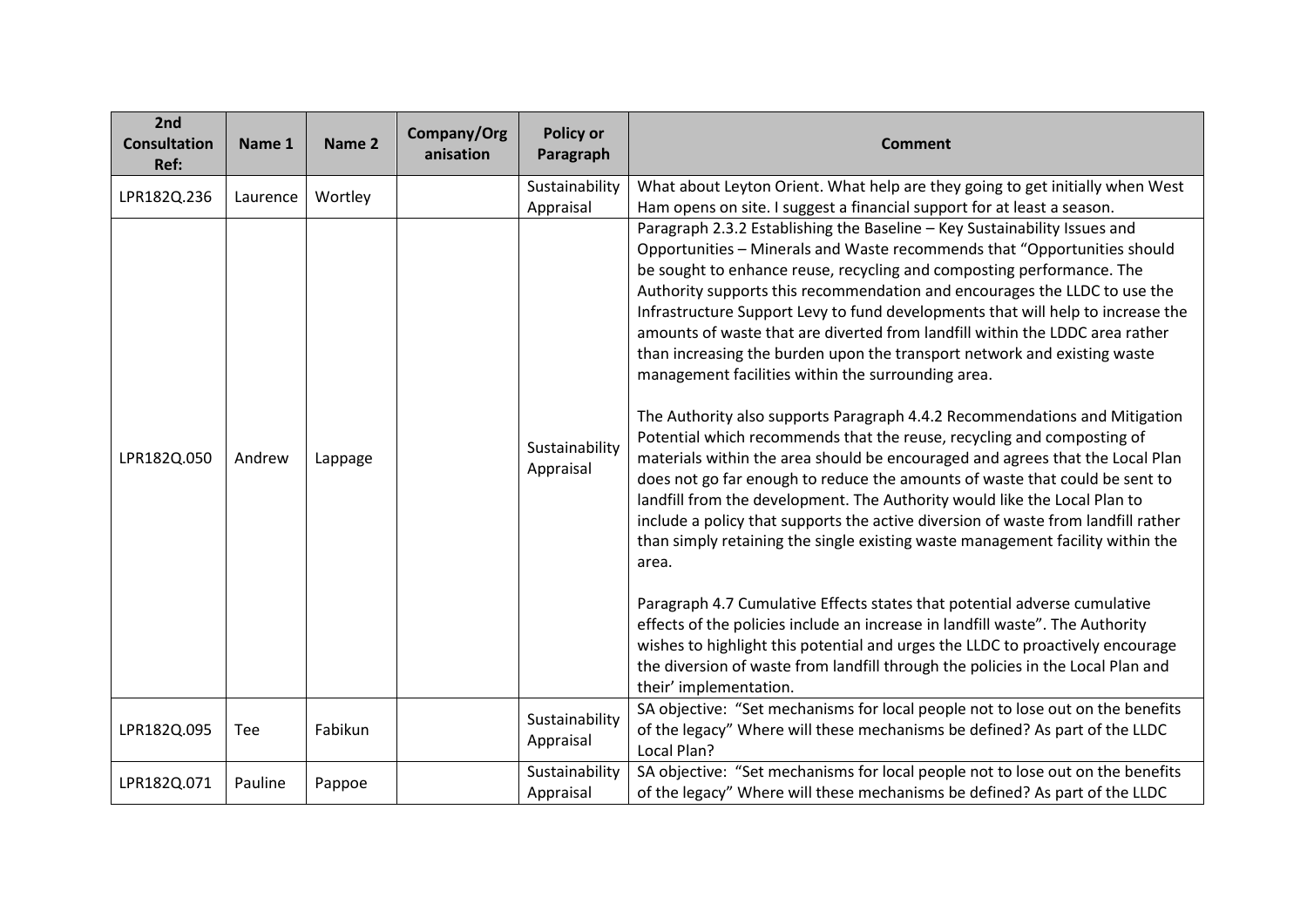| 2nd<br><b>Consultation</b><br>Ref: | Name 1     | Name 2  | Company/Org<br>anisation | <b>Policy or</b><br>Paragraph | <b>Comment</b>                                                                                                                                                                                                                                                                                                                                                                                                                                                                                                                                                                                                                                                                                                                                                                                                                                                                                                                                                                                                                                                                                                                                                                                                                                                                                                                                                                                                                                                                                                                                                     |
|------------------------------------|------------|---------|--------------------------|-------------------------------|--------------------------------------------------------------------------------------------------------------------------------------------------------------------------------------------------------------------------------------------------------------------------------------------------------------------------------------------------------------------------------------------------------------------------------------------------------------------------------------------------------------------------------------------------------------------------------------------------------------------------------------------------------------------------------------------------------------------------------------------------------------------------------------------------------------------------------------------------------------------------------------------------------------------------------------------------------------------------------------------------------------------------------------------------------------------------------------------------------------------------------------------------------------------------------------------------------------------------------------------------------------------------------------------------------------------------------------------------------------------------------------------------------------------------------------------------------------------------------------------------------------------------------------------------------------------|
| LPR182Q.236                        | Laurence   | Wortley |                          | Sustainability<br>Appraisal   | What about Leyton Orient. What help are they going to get initially when West<br>Ham opens on site. I suggest a financial support for at least a season.                                                                                                                                                                                                                                                                                                                                                                                                                                                                                                                                                                                                                                                                                                                                                                                                                                                                                                                                                                                                                                                                                                                                                                                                                                                                                                                                                                                                           |
| LPR182Q.050                        | Andrew     | Lappage |                          | Sustainability<br>Appraisal   | Paragraph 2.3.2 Establishing the Baseline - Key Sustainability Issues and<br>Opportunities - Minerals and Waste recommends that "Opportunities should<br>be sought to enhance reuse, recycling and composting performance. The<br>Authority supports this recommendation and encourages the LLDC to use the<br>Infrastructure Support Levy to fund developments that will help to increase the<br>amounts of waste that are diverted from landfill within the LDDC area rather<br>than increasing the burden upon the transport network and existing waste<br>management facilities within the surrounding area.<br>The Authority also supports Paragraph 4.4.2 Recommendations and Mitigation<br>Potential which recommends that the reuse, recycling and composting of<br>materials within the area should be encouraged and agrees that the Local Plan<br>does not go far enough to reduce the amounts of waste that could be sent to<br>landfill from the development. The Authority would like the Local Plan to<br>include a policy that supports the active diversion of waste from landfill rather<br>than simply retaining the single existing waste management facility within the<br>area.<br>Paragraph 4.7 Cumulative Effects states that potential adverse cumulative<br>effects of the policies include an increase in landfill waste". The Authority<br>wishes to highlight this potential and urges the LLDC to proactively encourage<br>the diversion of waste from landfill through the policies in the Local Plan and<br>their' implementation. |
| LPR182Q.095                        | <b>Tee</b> | Fabikun |                          | Sustainability<br>Appraisal   | SA objective: "Set mechanisms for local people not to lose out on the benefits<br>of the legacy" Where will these mechanisms be defined? As part of the LLDC<br>Local Plan?                                                                                                                                                                                                                                                                                                                                                                                                                                                                                                                                                                                                                                                                                                                                                                                                                                                                                                                                                                                                                                                                                                                                                                                                                                                                                                                                                                                        |
| LPR182Q.071                        | Pauline    | Pappoe  |                          | Sustainability<br>Appraisal   | SA objective: "Set mechanisms for local people not to lose out on the benefits<br>of the legacy" Where will these mechanisms be defined? As part of the LLDC                                                                                                                                                                                                                                                                                                                                                                                                                                                                                                                                                                                                                                                                                                                                                                                                                                                                                                                                                                                                                                                                                                                                                                                                                                                                                                                                                                                                       |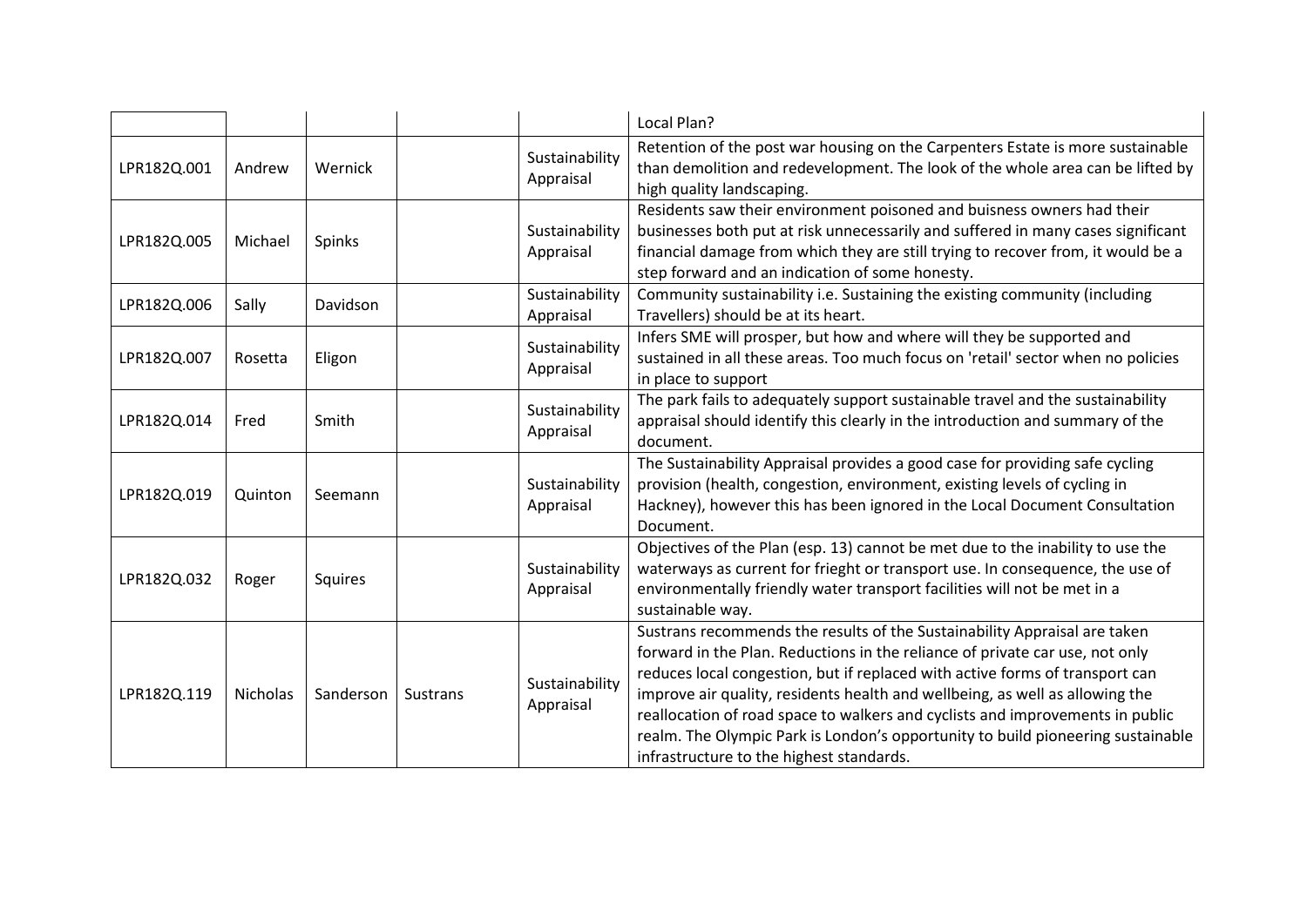|             |                 |           |                 |                             | Local Plan?                                                                                                                                                                                                                                                                                                                                                                                                                                                                                                                               |
|-------------|-----------------|-----------|-----------------|-----------------------------|-------------------------------------------------------------------------------------------------------------------------------------------------------------------------------------------------------------------------------------------------------------------------------------------------------------------------------------------------------------------------------------------------------------------------------------------------------------------------------------------------------------------------------------------|
| LPR182Q.001 | Andrew          | Wernick   |                 | Sustainability<br>Appraisal | Retention of the post war housing on the Carpenters Estate is more sustainable<br>than demolition and redevelopment. The look of the whole area can be lifted by<br>high quality landscaping.                                                                                                                                                                                                                                                                                                                                             |
| LPR182Q.005 | Michael         | Spinks    |                 | Sustainability<br>Appraisal | Residents saw their environment poisoned and buisness owners had their<br>businesses both put at risk unnecessarily and suffered in many cases significant<br>financial damage from which they are still trying to recover from, it would be a<br>step forward and an indication of some honesty.                                                                                                                                                                                                                                         |
| LPR182Q.006 | Sally           | Davidson  |                 | Sustainability<br>Appraisal | Community sustainability i.e. Sustaining the existing community (including<br>Travellers) should be at its heart.                                                                                                                                                                                                                                                                                                                                                                                                                         |
| LPR182Q.007 | Rosetta         | Eligon    |                 | Sustainability<br>Appraisal | Infers SME will prosper, but how and where will they be supported and<br>sustained in all these areas. Too much focus on 'retail' sector when no policies<br>in place to support                                                                                                                                                                                                                                                                                                                                                          |
| LPR182Q.014 | Fred            | Smith     |                 | Sustainability<br>Appraisal | The park fails to adequately support sustainable travel and the sustainability<br>appraisal should identify this clearly in the introduction and summary of the<br>document.                                                                                                                                                                                                                                                                                                                                                              |
| LPR182Q.019 | Quinton         | Seemann   |                 | Sustainability<br>Appraisal | The Sustainability Appraisal provides a good case for providing safe cycling<br>provision (health, congestion, environment, existing levels of cycling in<br>Hackney), however this has been ignored in the Local Document Consultation<br>Document.                                                                                                                                                                                                                                                                                      |
| LPR182Q.032 | Roger           | Squires   |                 | Sustainability<br>Appraisal | Objectives of the Plan (esp. 13) cannot be met due to the inability to use the<br>waterways as current for frieght or transport use. In consequence, the use of<br>environmentally friendly water transport facilities will not be met in a<br>sustainable way.                                                                                                                                                                                                                                                                           |
| LPR182Q.119 | <b>Nicholas</b> | Sanderson | <b>Sustrans</b> | Sustainability<br>Appraisal | Sustrans recommends the results of the Sustainability Appraisal are taken<br>forward in the Plan. Reductions in the reliance of private car use, not only<br>reduces local congestion, but if replaced with active forms of transport can<br>improve air quality, residents health and wellbeing, as well as allowing the<br>reallocation of road space to walkers and cyclists and improvements in public<br>realm. The Olympic Park is London's opportunity to build pioneering sustainable<br>infrastructure to the highest standards. |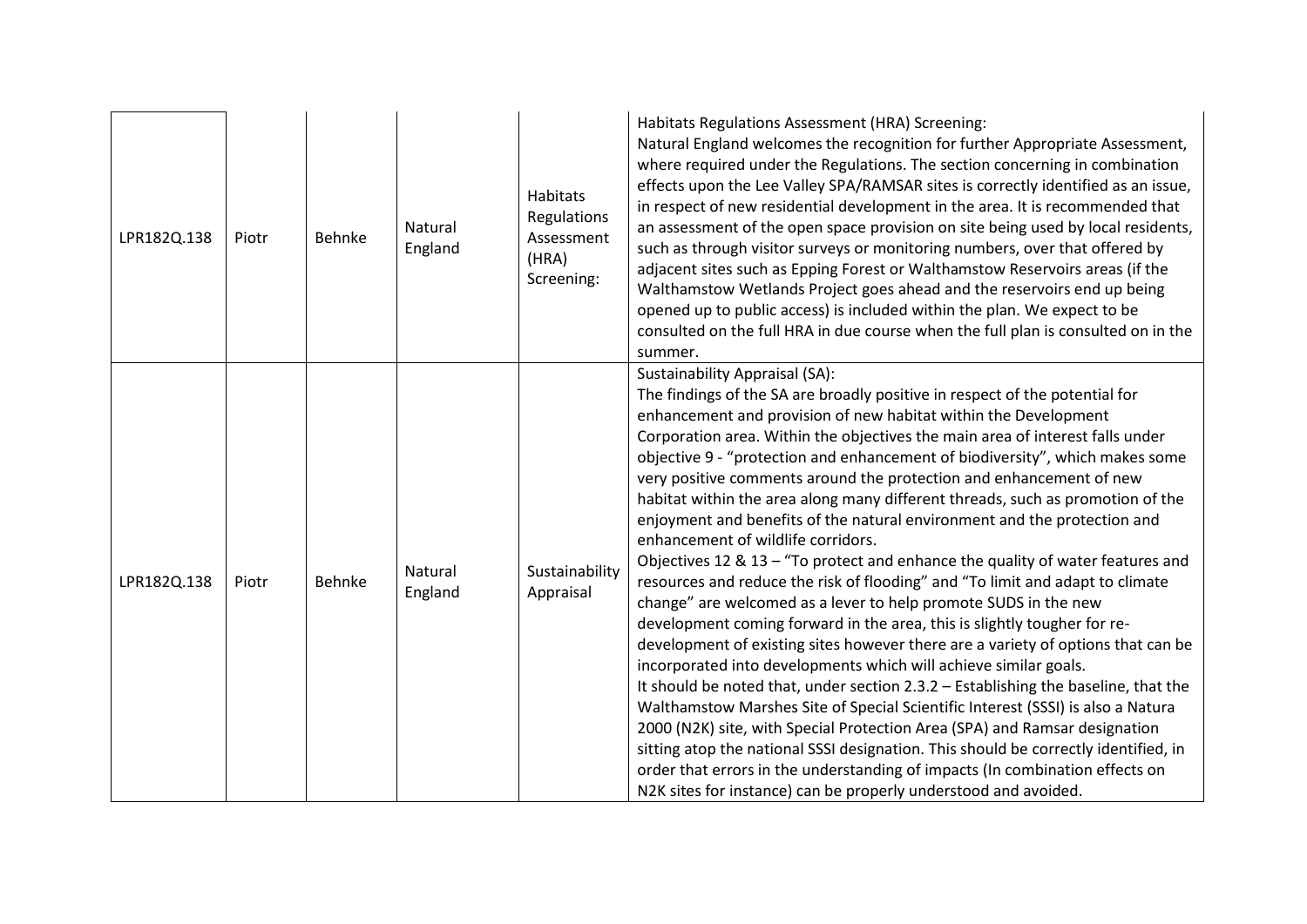| LPR182Q.138 | Piotr | Behnke | Natural<br>England | Habitats<br>Regulations<br>Assessment<br>(HRA)<br>Screening: | Habitats Regulations Assessment (HRA) Screening:<br>Natural England welcomes the recognition for further Appropriate Assessment,<br>where required under the Regulations. The section concerning in combination<br>effects upon the Lee Valley SPA/RAMSAR sites is correctly identified as an issue,<br>in respect of new residential development in the area. It is recommended that<br>an assessment of the open space provision on site being used by local residents,<br>such as through visitor surveys or monitoring numbers, over that offered by<br>adjacent sites such as Epping Forest or Walthamstow Reservoirs areas (if the<br>Walthamstow Wetlands Project goes ahead and the reservoirs end up being<br>opened up to public access) is included within the plan. We expect to be<br>consulted on the full HRA in due course when the full plan is consulted on in the<br>summer.                                                                                                                                                                                                                                                                                                                                                                                                                                                                                                                                                                                                                                                                                                                |
|-------------|-------|--------|--------------------|--------------------------------------------------------------|----------------------------------------------------------------------------------------------------------------------------------------------------------------------------------------------------------------------------------------------------------------------------------------------------------------------------------------------------------------------------------------------------------------------------------------------------------------------------------------------------------------------------------------------------------------------------------------------------------------------------------------------------------------------------------------------------------------------------------------------------------------------------------------------------------------------------------------------------------------------------------------------------------------------------------------------------------------------------------------------------------------------------------------------------------------------------------------------------------------------------------------------------------------------------------------------------------------------------------------------------------------------------------------------------------------------------------------------------------------------------------------------------------------------------------------------------------------------------------------------------------------------------------------------------------------------------------------------------------------|
| LPR182Q.138 | Piotr | Behnke | Natural<br>England | Sustainability<br>Appraisal                                  | <b>Sustainability Appraisal (SA):</b><br>The findings of the SA are broadly positive in respect of the potential for<br>enhancement and provision of new habitat within the Development<br>Corporation area. Within the objectives the main area of interest falls under<br>objective 9 - "protection and enhancement of biodiversity", which makes some<br>very positive comments around the protection and enhancement of new<br>habitat within the area along many different threads, such as promotion of the<br>enjoyment and benefits of the natural environment and the protection and<br>enhancement of wildlife corridors.<br>Objectives 12 & 13 - "To protect and enhance the quality of water features and<br>resources and reduce the risk of flooding" and "To limit and adapt to climate<br>change" are welcomed as a lever to help promote SUDS in the new<br>development coming forward in the area, this is slightly tougher for re-<br>development of existing sites however there are a variety of options that can be<br>incorporated into developments which will achieve similar goals.<br>It should be noted that, under section 2.3.2 - Establishing the baseline, that the<br>Walthamstow Marshes Site of Special Scientific Interest (SSSI) is also a Natura<br>2000 (N2K) site, with Special Protection Area (SPA) and Ramsar designation<br>sitting atop the national SSSI designation. This should be correctly identified, in<br>order that errors in the understanding of impacts (In combination effects on<br>N2K sites for instance) can be properly understood and avoided. |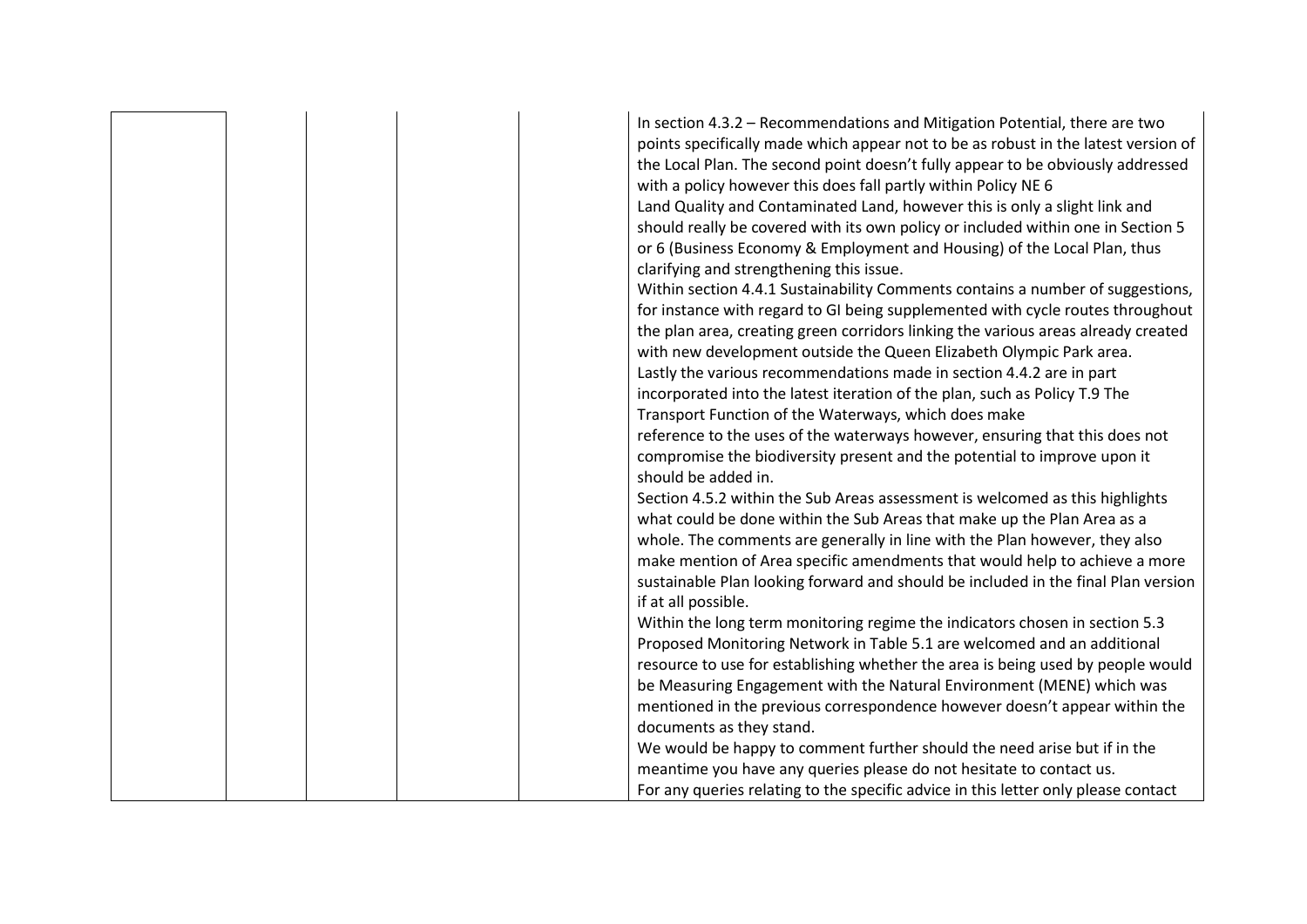|  |  |  | In section 4.3.2 - Recommendations and Mitigation Potential, there are two<br>points specifically made which appear not to be as robust in the latest version of<br>the Local Plan. The second point doesn't fully appear to be obviously addressed<br>with a policy however this does fall partly within Policy NE 6<br>Land Quality and Contaminated Land, however this is only a slight link and<br>should really be covered with its own policy or included within one in Section 5<br>or 6 (Business Economy & Employment and Housing) of the Local Plan, thus<br>clarifying and strengthening this issue.<br>Within section 4.4.1 Sustainability Comments contains a number of suggestions,<br>for instance with regard to GI being supplemented with cycle routes throughout<br>the plan area, creating green corridors linking the various areas already created<br>with new development outside the Queen Elizabeth Olympic Park area.<br>Lastly the various recommendations made in section 4.4.2 are in part<br>incorporated into the latest iteration of the plan, such as Policy T.9 The<br>Transport Function of the Waterways, which does make<br>reference to the uses of the waterways however, ensuring that this does not<br>compromise the biodiversity present and the potential to improve upon it<br>should be added in.<br>Section 4.5.2 within the Sub Areas assessment is welcomed as this highlights<br>what could be done within the Sub Areas that make up the Plan Area as a |
|--|--|--|------------------------------------------------------------------------------------------------------------------------------------------------------------------------------------------------------------------------------------------------------------------------------------------------------------------------------------------------------------------------------------------------------------------------------------------------------------------------------------------------------------------------------------------------------------------------------------------------------------------------------------------------------------------------------------------------------------------------------------------------------------------------------------------------------------------------------------------------------------------------------------------------------------------------------------------------------------------------------------------------------------------------------------------------------------------------------------------------------------------------------------------------------------------------------------------------------------------------------------------------------------------------------------------------------------------------------------------------------------------------------------------------------------------------------------------------------------------------------------------------------------|
|  |  |  |                                                                                                                                                                                                                                                                                                                                                                                                                                                                                                                                                                                                                                                                                                                                                                                                                                                                                                                                                                                                                                                                                                                                                                                                                                                                                                                                                                                                                                                                                                            |
|  |  |  | whole. The comments are generally in line with the Plan however, they also                                                                                                                                                                                                                                                                                                                                                                                                                                                                                                                                                                                                                                                                                                                                                                                                                                                                                                                                                                                                                                                                                                                                                                                                                                                                                                                                                                                                                                 |
|  |  |  | make mention of Area specific amendments that would help to achieve a more                                                                                                                                                                                                                                                                                                                                                                                                                                                                                                                                                                                                                                                                                                                                                                                                                                                                                                                                                                                                                                                                                                                                                                                                                                                                                                                                                                                                                                 |
|  |  |  | sustainable Plan looking forward and should be included in the final Plan version                                                                                                                                                                                                                                                                                                                                                                                                                                                                                                                                                                                                                                                                                                                                                                                                                                                                                                                                                                                                                                                                                                                                                                                                                                                                                                                                                                                                                          |
|  |  |  | if at all possible.                                                                                                                                                                                                                                                                                                                                                                                                                                                                                                                                                                                                                                                                                                                                                                                                                                                                                                                                                                                                                                                                                                                                                                                                                                                                                                                                                                                                                                                                                        |
|  |  |  | Within the long term monitoring regime the indicators chosen in section 5.3<br>Proposed Monitoring Network in Table 5.1 are welcomed and an additional                                                                                                                                                                                                                                                                                                                                                                                                                                                                                                                                                                                                                                                                                                                                                                                                                                                                                                                                                                                                                                                                                                                                                                                                                                                                                                                                                     |
|  |  |  | resource to use for establishing whether the area is being used by people would                                                                                                                                                                                                                                                                                                                                                                                                                                                                                                                                                                                                                                                                                                                                                                                                                                                                                                                                                                                                                                                                                                                                                                                                                                                                                                                                                                                                                            |
|  |  |  | be Measuring Engagement with the Natural Environment (MENE) which was                                                                                                                                                                                                                                                                                                                                                                                                                                                                                                                                                                                                                                                                                                                                                                                                                                                                                                                                                                                                                                                                                                                                                                                                                                                                                                                                                                                                                                      |
|  |  |  | mentioned in the previous correspondence however doesn't appear within the                                                                                                                                                                                                                                                                                                                                                                                                                                                                                                                                                                                                                                                                                                                                                                                                                                                                                                                                                                                                                                                                                                                                                                                                                                                                                                                                                                                                                                 |
|  |  |  | documents as they stand.                                                                                                                                                                                                                                                                                                                                                                                                                                                                                                                                                                                                                                                                                                                                                                                                                                                                                                                                                                                                                                                                                                                                                                                                                                                                                                                                                                                                                                                                                   |
|  |  |  | We would be happy to comment further should the need arise but if in the                                                                                                                                                                                                                                                                                                                                                                                                                                                                                                                                                                                                                                                                                                                                                                                                                                                                                                                                                                                                                                                                                                                                                                                                                                                                                                                                                                                                                                   |
|  |  |  | meantime you have any queries please do not hesitate to contact us.                                                                                                                                                                                                                                                                                                                                                                                                                                                                                                                                                                                                                                                                                                                                                                                                                                                                                                                                                                                                                                                                                                                                                                                                                                                                                                                                                                                                                                        |
|  |  |  | For any queries relating to the specific advice in this letter only please contact                                                                                                                                                                                                                                                                                                                                                                                                                                                                                                                                                                                                                                                                                                                                                                                                                                                                                                                                                                                                                                                                                                                                                                                                                                                                                                                                                                                                                         |